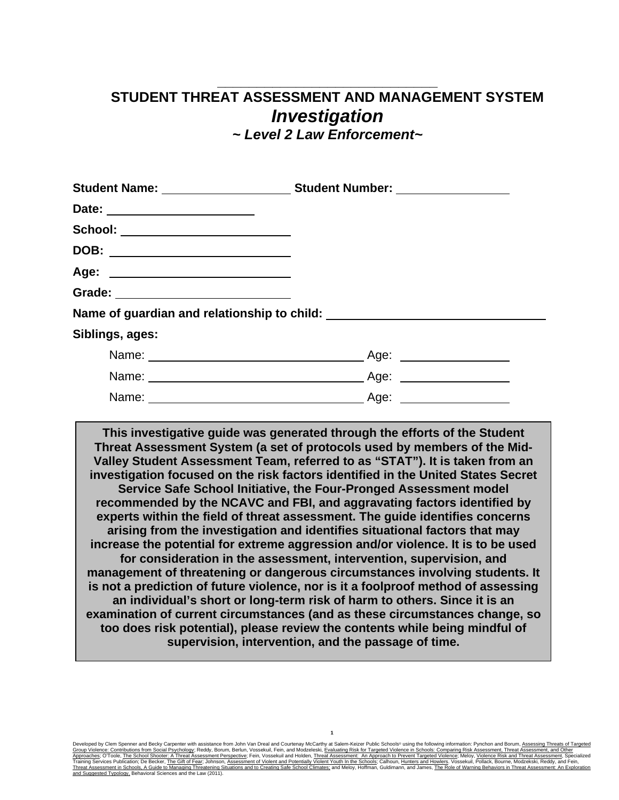## **\_\_\_\_\_\_\_\_\_\_\_\_\_\_\_\_\_\_\_\_\_\_\_\_\_\_\_\_ STUDENT THREAT ASSESSMENT AND MANAGEMENT SYSTEM** *Investigation*

*~ Level 2 Law Enforcement~*

| School: _______________________     |  |
|-------------------------------------|--|
| DOB: ___________________________    |  |
|                                     |  |
| Grade: ____________________________ |  |
|                                     |  |
| Siblings, ages:                     |  |
|                                     |  |
|                                     |  |
|                                     |  |

**This investigative guide was generated through the efforts of the Student Threat Assessment System (a set of protocols used by members of the Mid-Valley Student Assessment Team, referred to as "STAT"). It is taken from an investigation focused on the risk factors identified in the United States Secret Service Safe School Initiative, the Four-Pronged Assessment model recommended by the NCAVC and FBI, and aggravating factors identified by experts within the field of threat assessment. The guide identifies concerns arising from the investigation and identifies situational factors that may increase the potential for extreme aggression and/or violence. It is to be used for consideration in the assessment, intervention, supervision, and management of threatening or dangerous circumstances involving students. It is not a prediction of future violence, nor is it a foolproof method of assessing an individual's short or long-term risk of harm to others. Since it is an examination of current circumstances (and as these circumstances change, so too does risk potential), please review the contents while being mindful of supervision, intervention, and the passage of time.**

Developed by Clem Spenner and Becky Carpenter with assistance from John Van Dreal and Courtenay McCarthy at Salem-Keizer Public Schools® using the following information: Pynchon and Borum, <u>Assessment, Threat Assessment, </u> A<u>pproaches;</u> O'Toole, <u>The School Shooter: A Threat Assessment Perspective;</u> Fein, Vossekuil and Holden, <u>Threat Assessment: An Approach to Prevent Targeted Violence; Meloy, Violence Risk and Threat Assessment, Specialize</u>

**1**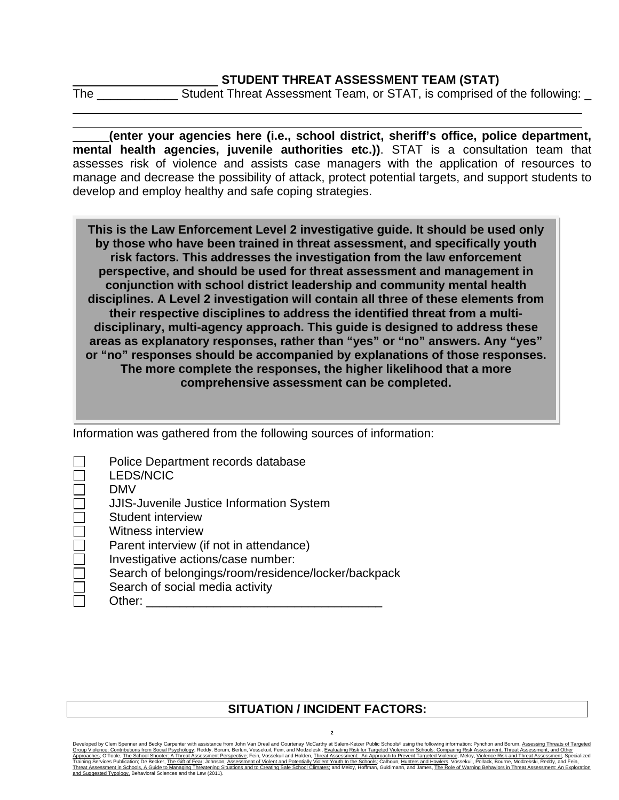## **STUDENT THREAT ASSESSMENT TEAM (STAT)**

The \_\_\_\_\_\_\_\_\_\_\_\_ Student Threat Assessment Team, or STAT, is comprised of the following: \_

**(enter your agencies here (i.e., school district, sheriff's office, police department, mental health agencies, juvenile authorities etc.))**. STAT is a consultation team that assesses risk of violence and assists case managers with the application of resources to manage and decrease the possibility of attack, protect potential targets, and support students to develop and employ healthy and safe coping strategies.

**This is the Law Enforcement Level 2 investigative guide. It should be used only by those who have been trained in threat assessment, and specifically youth risk factors. This addresses the investigation from the law enforcement perspective, and should be used for threat assessment and management in conjunction with school district leadership and community mental health disciplines. A Level 2 investigation will contain all three of these elements from their respective disciplines to address the identified threat from a multidisciplinary, multi-agency approach. This guide is designed to address these areas as explanatory responses, rather than "yes" or "no" answers. Any "yes" or "no" responses should be accompanied by explanations of those responses. The more complete the responses, the higher likelihood that a more comprehensive assessment can be completed.**

Information was gathered from the following sources of information:

| Police Department records database                  |
|-----------------------------------------------------|
| <b>LEDS/NCIC</b>                                    |
| DMV                                                 |
| <b>JJIS-Juvenile Justice Information System</b>     |
| Student interview                                   |
| <b>Witness interview</b>                            |
| Parent interview (if not in attendance)             |
| Investigative actions/case number:                  |
| Search of belongings/room/residence/locker/backpack |
| Search of social media activity                     |
| Other:                                              |

## **SITUATION / INCIDENT FACTORS:**

Developed by Clem Spenner and Becky Carpenter with assistance from John Van Dreal and Courtenay McCarthy at Salem-Keizer Public Schools® using the following information: Pynchon and Borum, <u>Assessment, Threat Assessment, </u> Approaches; O'Toole, The School Shooter: A Threat Assessment Perspective; Fein, Vossekuil and Holden, Threat Assessment: An Approach to Prevent Targeted Violence; Meloy, Violence Risk and Threat Assessment, Specialized Ass Training Services Publication; De Becker, <u>The Gift of Fear;</u> Johnson, <u>Assessment of Violent and Potentially Violent Youth In the Schools;</u> Calhoun, <u>Hunters and Howlers</u>. Vossekuil, Pollack, Bourne, Modzekski, Reddy, and and Services Publication; De Becker, The Gift of Fear; Johnson, As<br>In Services Publication; De Becker, The Gift of Fear; Johnson, As

**2**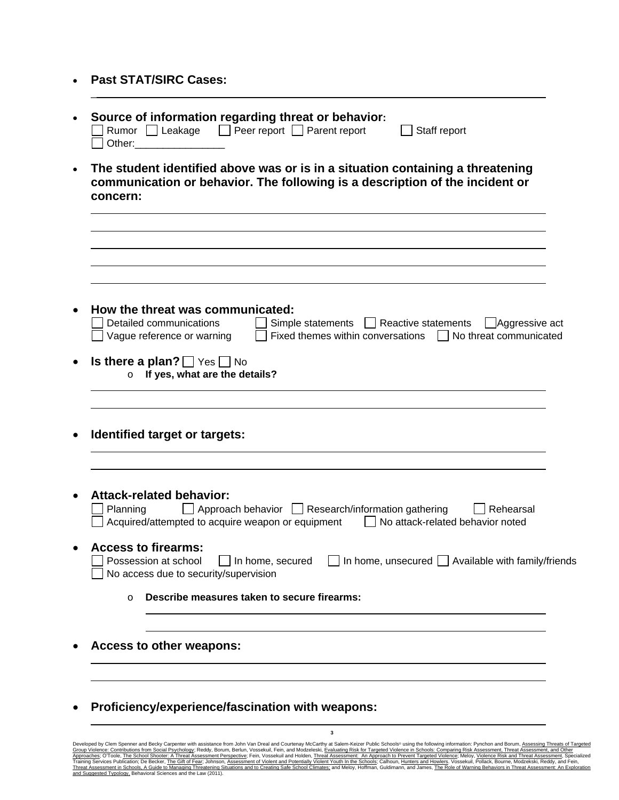• **Past STAT/SIRC Cases:**

\_

|           | Source of information regarding threat or behavior:<br>Rumor Leakage D Peer report Parent report<br>Staff report<br>Other:                                                                            |
|-----------|-------------------------------------------------------------------------------------------------------------------------------------------------------------------------------------------------------|
| $\bullet$ | The student identified above was or is in a situation containing a threatening<br>communication or behavior. The following is a description of the incident or<br>concern:                            |
|           |                                                                                                                                                                                                       |
|           | How the threat was communicated:<br>Detailed communications<br>Simple statements   Reactive statements<br>$\Box$ Aggressive act                                                                       |
|           | Fixed themes within conversations     No threat communicated<br>Vague reference or warning<br><b>Is there a plan?</b> $\Box$ Yes $\Box$ No<br>If yes, what are the details?<br>$\circ$                |
|           | Identified target or targets:                                                                                                                                                                         |
|           | <b>Attack-related behavior:</b><br>Approach behavior Research/information gathering<br>Planning<br>Rehearsal<br>Acquired/attempted to acquire weapon or equipment<br>No attack-related behavior noted |
|           | <b>Access to firearms:</b><br>$\Box$ Possession at school $\Box$ In home, secured $\Box$ In home, unsecured $\Box$ Available with family/friends<br>No access due to security/supervision             |
|           | Describe measures taken to secure firearms:<br>$\Omega$                                                                                                                                               |
|           | Access to other weapons:                                                                                                                                                                              |
|           | Proficiency/experience/fascination with weapons:                                                                                                                                                      |

Developed by Clem Spenner and Becky Carpenter with assistance from John Van Dreal and Courtenay McCarthy at Salem-Keizer Public Schools® using the following information: Pynchon and Borum, <u>Assessing Threats of Targeted</u><br><u></u>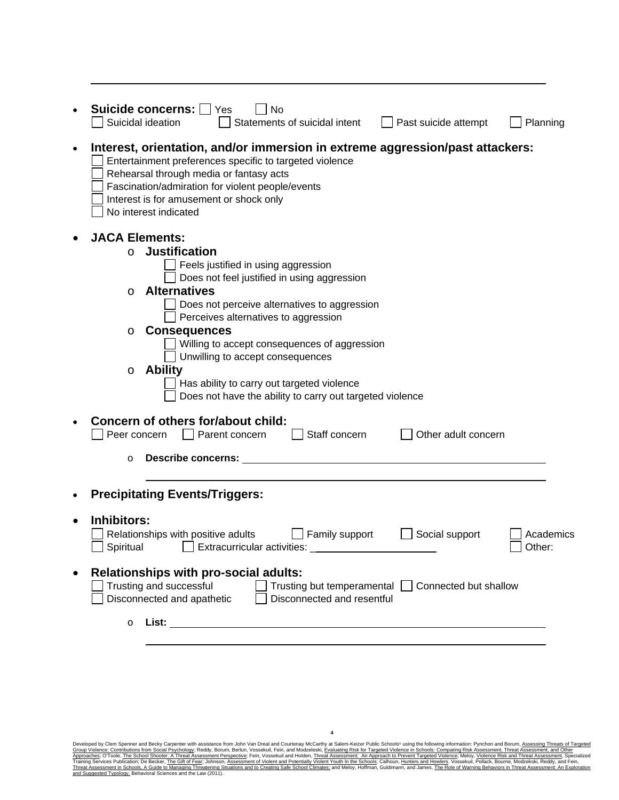|           | Suicide concerns:<br>Yes<br>No<br>Suicidal ideation<br>Statements of suicidal intent<br>Past suicide attempt<br>Planning                                                                                                                                                                                                                                                                                                                                                                                            |  |  |  |  |  |
|-----------|---------------------------------------------------------------------------------------------------------------------------------------------------------------------------------------------------------------------------------------------------------------------------------------------------------------------------------------------------------------------------------------------------------------------------------------------------------------------------------------------------------------------|--|--|--|--|--|
| $\bullet$ | Interest, orientation, and/or immersion in extreme aggression/past attackers:<br>Entertainment preferences specific to targeted violence<br>Rehearsal through media or fantasy acts<br>Fascination/admiration for violent people/events<br>Interest is for amusement or shock only<br>No interest indicated                                                                                                                                                                                                         |  |  |  |  |  |
|           | <b>JACA Elements:</b><br><b>Justification</b><br>$\circ$<br>Feels justified in using aggression<br>Does not feel justified in using aggression<br><b>Alternatives</b><br>O<br>Does not perceive alternatives to aggression<br>Perceives alternatives to aggression<br><b>Consequences</b><br>O<br>Willing to accept consequences of aggression<br>Unwilling to accept consequences<br><b>Ability</b><br>O<br>Has ability to carry out targeted violence<br>Does not have the ability to carry out targeted violence |  |  |  |  |  |
|           | Concern of others for/about child:<br>Staff concern<br>Peer concern<br>Parent concern<br>Other adult concern<br><b>Describe concerns:</b><br>$\circ$                                                                                                                                                                                                                                                                                                                                                                |  |  |  |  |  |
| $\bullet$ | <b>Precipitating Events/Triggers:</b>                                                                                                                                                                                                                                                                                                                                                                                                                                                                               |  |  |  |  |  |
| $\bullet$ | Inhibitors:<br>Relationships with positive adults<br>$\Box$ Family support<br>Social support<br>Academics<br>$\Box$ Other:                                                                                                                                                                                                                                                                                                                                                                                          |  |  |  |  |  |
| $\bullet$ | <b>Relationships with pro-social adults:</b><br>Trusting and successful<br>Trusting but temperamental □ Connected but shallow<br>Disconnected and apathetic<br>Disconnected and resentful                                                                                                                                                                                                                                                                                                                           |  |  |  |  |  |
|           | $\circ$                                                                                                                                                                                                                                                                                                                                                                                                                                                                                                             |  |  |  |  |  |

Developed by Clem Spenner and Becky Carpenter with assistance from John Van Dreal and Courtenay McCarthy at Salem-Keizer Public Schools® using the following information: Pynchon and Borum, <u>Assessing Threats of Targeted</u><br><u></u>

**4**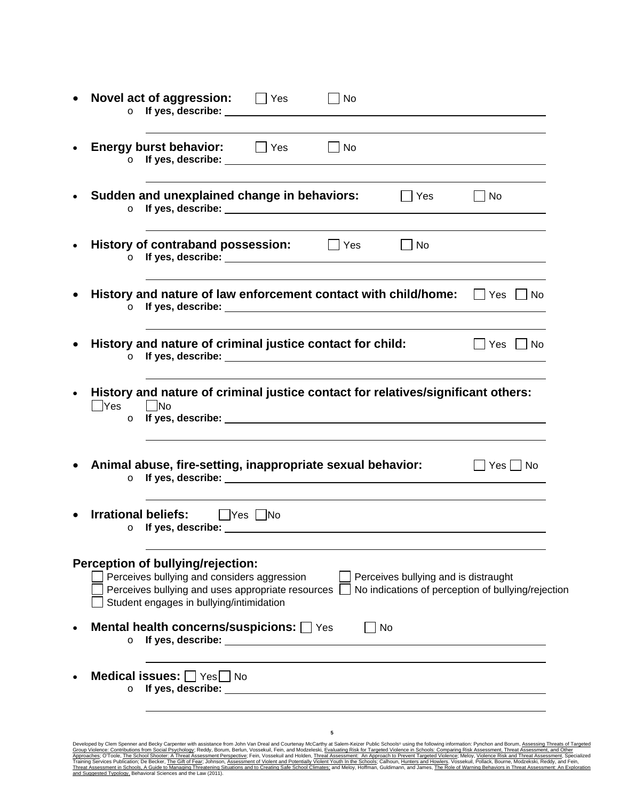| $\circ$         | Novel act of aggression: DYes                                                                                                                                                                                                                                                                                               | No |                                      |                                                    |
|-----------------|-----------------------------------------------------------------------------------------------------------------------------------------------------------------------------------------------------------------------------------------------------------------------------------------------------------------------------|----|--------------------------------------|----------------------------------------------------|
|                 | Energy burst behavior: Fig. Yes Fig. No                                                                                                                                                                                                                                                                                     |    |                                      |                                                    |
| $\circ$         | Sudden and unexplained change in behaviors:<br>If yes, describe: <u>contract the contract of the set of the set of the set of the set of the set of the set of the set of the set of the set of the set of the set of the set of the set of the set of the set of the set of th</u>                                         |    | $\Box$ Yes                           | $\Box$ No                                          |
|                 | History of contraband possession: JYes UNo                                                                                                                                                                                                                                                                                  |    |                                      |                                                    |
|                 | History and nature of law enforcement contact with child/home: $\Box$ Yes $\Box$ No<br>o If yes, describe: <u>share and the set of the set of the set of the set of the set of the set of the set of the set of the set of the set of the set of the set of the set of the set of the set of the set of the set of the </u> |    |                                      |                                                    |
| $\circ$         | History and nature of criminal justice contact for child:                                                                                                                                                                                                                                                                   |    |                                      | Yes    No                                          |
| ∏Yes<br>$\circ$ | History and nature of criminal justice contact for relatives/significant others:<br>No. I                                                                                                                                                                                                                                   |    |                                      |                                                    |
|                 | Animal abuse, fire-setting, inappropriate sexual behavior:                                                                                                                                                                                                                                                                  |    |                                      | $\vert$   Yes $\vert$   No                         |
| $\circ$         | <b>Irrational beliefs:</b> PYes No                                                                                                                                                                                                                                                                                          |    |                                      |                                                    |
|                 | Perception of bullying/rejection:<br>Perceives bullying and considers aggression<br>Perceives bullying and uses appropriate resources<br>Student engages in bullying/intimidation                                                                                                                                           |    | Perceives bullying and is distraught | No indications of perception of bullying/rejection |
| $\circ$         | Mental health concerns/suspicions: Ves                                                                                                                                                                                                                                                                                      | No |                                      |                                                    |
| $\circ$         | Medical issues: Ves No                                                                                                                                                                                                                                                                                                      |    |                                      |                                                    |
|                 |                                                                                                                                                                                                                                                                                                                             | 5  |                                      |                                                    |

Developed by Clem Spenner and Becky Carpenter with assistance from John Van Dreal and Courtenay McCarthy at Salem-Keizer Public Schools® using the following information: Pynchon and Borum, <u>Assessing Threats of Targeted</u><br><u></u>